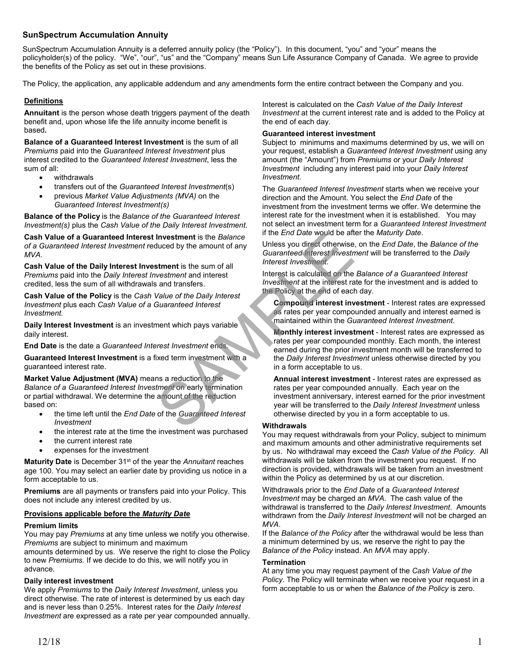# **SunSpectrum Accumulation Annuity**

SunSpectrum Accumulation Annuity is a deferred annuity policy (the "Policy"). In this document, "you" and "your" means the policyholder(s) of the policy. "We", "our", "us" and the "Company" means Sun Life Assurance Company of Canada.We agree to provide the benefits of the Policy as set out in these provisions.

The Policy, the application, any applicable addendum and any amendments form the entire contract between the Company and you.

# **Definitions**

**Annuitant** is the person whose death triggers payment of the death benefit and, upon whose life the life annuity income benefit is based**.** 

**Balance of a Guaranteed Interest Investment** is the sum of all *Premiums* paid into the *Guaranteed Interest Investment* plus interest credited to the *Guaranteed Interest Investment*, less the sum of all:

- withdrawals
- transfers out of the *Guaranteed Interest Investment*(s)
- previous *Market Value Adjustments (MVA)* on the *Guaranteed Interest Investment(s)*

**Balance of the Policy** is the *Balance of the Guaranteed Interest Investment(s)* plus the *Cash Value of the Daily Interest Investment.*

**Cash Value of a Guaranteed Interest Investment** is the *Balance of a Guaranteed Interest Investment* reduced by the amount of any *MVA*.

**Cash Value of the Daily Interest Investment** is the sum of all *Premiums* paid into the *Daily Interest Investment* and interest credited, less the sum of all withdrawals and transfers.

**Cash Value of the Policy** is the *Cash Value of the Daily Interest Investment* plus each *Cash Value of a Guaranteed Interest Investment.*

**Daily Interest Investment** is an investment which pays variable daily interest.

**End Date** is the date a *Guaranteed Interest Investment* ends.

**Guaranteed Interest Investment** is a fixed term investment with a guaranteed interest rate.

**Market Value Adjustment (MVA)** means a reduction to the *Balance of a Guaranteed Interest Investment* on early termination or partial withdrawal. We determine the amount of the reduction based on:

- the time left until the *End Date* of the *Guaranteed Interest Investment*
- the interest rate at the time the investment was purchased
- the current interest rate
- expenses for the investment

**Maturity Date** is December 31<sup>st</sup> of the year the *Annuitant* reaches age 100. You may select an earlier date by providing us notice in a form acceptable to us.

**Premiums** are all payments or transfers paid into your Policy. This does not include any interest credited by us.

# **Provisions applicable before the** *Maturity Date*

### **Premium limits**

You may pay *Premiums* at any time unless we notify you otherwise. *Premiums* are subject to minimum and maximum

amounts determined by us. We reserve the right to close the Policy to new *Premiums.* If we decide to do this, we will notify you in advance.

### **Daily interest investment**

We apply *Premiums* to the *Daily Interest Investment*, unless you direct otherwise. The rate of interest is determined by us each day and is never less than 0.25%. Interest rates for the *Daily Interest Investment* are expressed as a rate per year compounded annually. Interest is calculated on the *Cash Value of the Daily Interest Investment* at the current interest rate and is added to the Policy at the end of each day.

# **Guaranteed interest investment**

Subject to minimums and maximums determined by us, we will on your request, establish a *Guaranteed Interest Investment* using any amount (the "Amount") from *Premiums* or your *Daily Interest Investment* including any interest paid into your *Daily Interest Investment.*

The *Guaranteed Interest Investment* starts when we receive your direction and the Amount. You select the *End Date* of the investment from the investment terms we offer. We determine the interest rate for the investment when it is established. You may not select an investment term for a *Guaranteed Interest Investment* if the *End Date* would be after the *Maturity Date*.

Unless you direct otherwise, on the *End Date*, the *Balance of the Guaranteed Interest Investment* will be transferred to the *Daily Interest Investment*.

Interest is calculated on the *Balance of a Guaranteed Interest Investment* at the interest rate for the investment and is added to the Policy at the end of each day.

**Compound interest investment** - Interest rates are expressed as rates per year compounded annually and interest earned is maintained within the *Guaranteed Interest Investment*.

**Monthly interest investment** - Interest rates are expressed as rates per year compounded monthly. Each month, the interest earned during the prior investment month will be transferred to the *Daily Interest Investment* unless otherwise directed by you in a form acceptable to us. From the Balance<br>
Solution of any the amount of any the syou direct of therwise<br>
Suranteed Interest Investment<br>
Strengthend interest<br>
Sand transfers.<br>
Sand transfers is calculated on the<br>
Sand transfers investment and inte

**Annual interest investment** - Interest rates are expressed as rates per year compounded annually. Each year on the investment anniversary, interest earned for the prior investment year will be transferred to the *Daily Interest Investment* unless otherwise directed by you in a form acceptable to us.

### **Withdrawals**

You may request withdrawals from your Policy, subject to minimum and maximum amounts and other administrative requirements set by us. No withdrawal may exceed the *Cash Value of the Policy*. All withdrawals will be taken from the investment you request. If no direction is provided, withdrawals will be taken from an investment within the Policy as determined by us at our discretion.

Withdrawals prior to the *End Date* of a *Guaranteed Interest Investment* may be charged an *MVA*. The cash value of the withdrawal is transferred to the *Daily Interest Investment*. Amounts withdrawn from the *Daily Interest Investment* will not be charged an *MVA*.

If the *Balance of the Policy* after the withdrawal would be less than a minimum determined by us, we reserve the right to pay the *Balance of the Policy* instead. An *MVA* may apply.

### **Termination**

At any time you may request payment of the *Cash Value of the Policy.* The Policy will terminate when we receive your request in a form acceptable to us or when the *Balance of the Policy* is zero.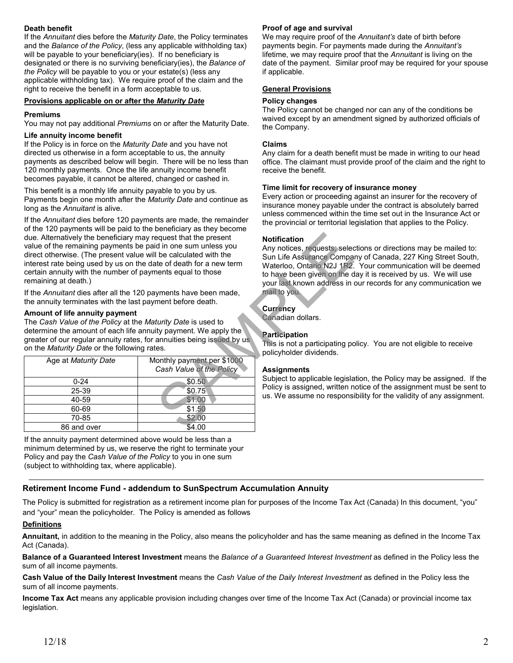# **Death benefit**

If the *Annuitant* dies before the *Maturity Date*, the Policy terminates and the *Balance of the Policy*, (less any applicable withholding tax) will be payable to your beneficiary(ies). If no beneficiary is designated or there is no surviving beneficiary(ies), the *Balance of the Policy* will be payable to you or your estate(s) (less any applicable withholding tax). We require proof of the claim and the right to receive the benefit in a form acceptable to us.

# **Provisions applicable on or after the** *Maturity Date*

## **Premiums**

You may not pay additional *Premiums* on or after the Maturity Date.

#### **Life annuity income benefit**

If the Policy is in force on the *Maturity Date* and you have not directed us otherwise in a form acceptable to us, the annuity payments as described below will begin. There will be no less than 120 monthly payments. Once the life annuity income benefit becomes payable, it cannot be altered, changed or cashed in.

This benefit is a monthly life annuity payable to you by us. Payments begin one month after the *Maturity Date* and continue as long as the *Annuitant* is alive.

If the *Annuitant* dies before 120 payments are made, the remainder of the 120 payments will be paid to the beneficiary as they become due. Alternatively the beneficiary may request that the present value of the remaining payments be paid in one sum unless you direct otherwise. (The present value will be calculated with the interest rate being used by us on the date of death for a new term certain annuity with the number of payments equal to those remaining at death.)

# **Amount of life annuity payment**

| due. Alternatively the beneficiary may request that the present<br>value of the remaining payments be paid in one sum unless you<br>direct otherwise. (The present value will be calculated with the<br>interest rate being used by us on the date of death for a new term<br>certain annuity with the number of payments equal to those<br>remaining at death.) |                                                        | <b>Notification</b><br>Any notices, requests, seled<br>Sun Life Assurance Compa<br>Waterloo, Ontario N2J 1R2.<br>to have been given on the d<br>your last known address in |
|------------------------------------------------------------------------------------------------------------------------------------------------------------------------------------------------------------------------------------------------------------------------------------------------------------------------------------------------------------------|--------------------------------------------------------|----------------------------------------------------------------------------------------------------------------------------------------------------------------------------|
| If the Annuitant dies after all the 120 payments have been made,<br>the annuity terminates with the last payment before death.                                                                                                                                                                                                                                   |                                                        | mail to you.                                                                                                                                                               |
| Amount of life annuity payment<br>The Cash Value of the Policy at the Maturity Date is used to<br>determine the amount of each life annuity payment. We apply the<br>greater of our regular annuity rates, for annuities being issued by us<br>on the Maturity Date or the following rates.                                                                      |                                                        | <b>Currency</b><br>Canadian dollars.<br><b>Participation</b><br>This is not a participating po<br>policyholder dividends.                                                  |
| Age at Maturity Date                                                                                                                                                                                                                                                                                                                                             | Monthly payment per \$1000<br>Cash Value of the Policy | <b>Assignments</b>                                                                                                                                                         |
| $0 - 24$                                                                                                                                                                                                                                                                                                                                                         | \$0.50                                                 | Subject to applicable legisla<br>Policy is assigned, written n<br>us. We assume no responsi                                                                                |
| 25-39                                                                                                                                                                                                                                                                                                                                                            | \$0.75                                                 |                                                                                                                                                                            |
| 40-59                                                                                                                                                                                                                                                                                                                                                            | \$1.00                                                 |                                                                                                                                                                            |
| 60-69                                                                                                                                                                                                                                                                                                                                                            | \$1.50                                                 |                                                                                                                                                                            |
| 70-85                                                                                                                                                                                                                                                                                                                                                            | \$2.00                                                 |                                                                                                                                                                            |
| 86 and over                                                                                                                                                                                                                                                                                                                                                      | \$4.00                                                 |                                                                                                                                                                            |

If the annuity payment determined above would be less than a minimum determined by us, we reserve the right to terminate your Policy and pay the *Cash Value of the Policy* to you in one sum (subject to withholding tax, where applicable).

# **Retirement Income Fund - addendum to SunSpectrum Accumulation Annuity**

The Policy is submitted for registration as a retirement income plan for purposes of the Income Tax Act (Canada) In this document, "you" and "your" mean the policyholder. The Policy is amended as follows

# **Definitions**

**Annuitant,** in addition to the meaning in the Policy, also means the policyholder and has the same meaning as defined in the Income Tax Act (Canada).

**Balance of a Guaranteed Interest Investment** means the *Balance of a Guaranteed Interest Investment* as defined in the Policy less the sum of all income payments.

**Cash Value of the Daily Interest Investment** means the *Cash Value of the Daily Interest Investment* as defined in the Policy less the sum of all income payments.

**Income Tax Act** means any applicable provision including changes over time of the Income Tax Act (Canada) or provincial income tax legislation.

# **Proof of age and survival**

We may require proof of the *Annuitant's* date of birth before payments begin. For payments made during the *Annuitant's* lifetime, we may require proof that the *Annuitant* is living on the date of the payment. Similar proof may be required for your spouse if applicable.

## **General Provisions**

#### **Policy changes**

The Policy cannot be changed nor can any of the conditions be waived except by an amendment signed by authorized officials of the Company.

## **Claims**

Any claim for a death benefit must be made in writing to our head office. The claimant must provide proof of the claim and the right to receive the benefit.

## **Time limit for recovery of insurance money**

Every action or proceeding against an insurer for the recovery of insurance money payable under the contract is absolutely barred unless commenced within the time set out in the Insurance Act or the provincial or territorial legislation that applies to the Policy.

# **Notification**

Any notices, requests, selections or directions may be mailed to: Sun Life Assurance Company of Canada, 227 King Street South, Waterloo, Ontario N2J 1R2. Your communication will be deemed to have been given on the day it is received by us. We will use your last known address in our records for any communication we mail to you.

# **Currency**

# **Participation**

This is not a participating policy. You are not eligible to receive policyholder dividends.

### **Assignments**

Subject to applicable legislation, the Policy may be assigned. If the Policy is assigned, written notice of the assignment must be sent to us. We assume no responsibility for the validity of any assignment.